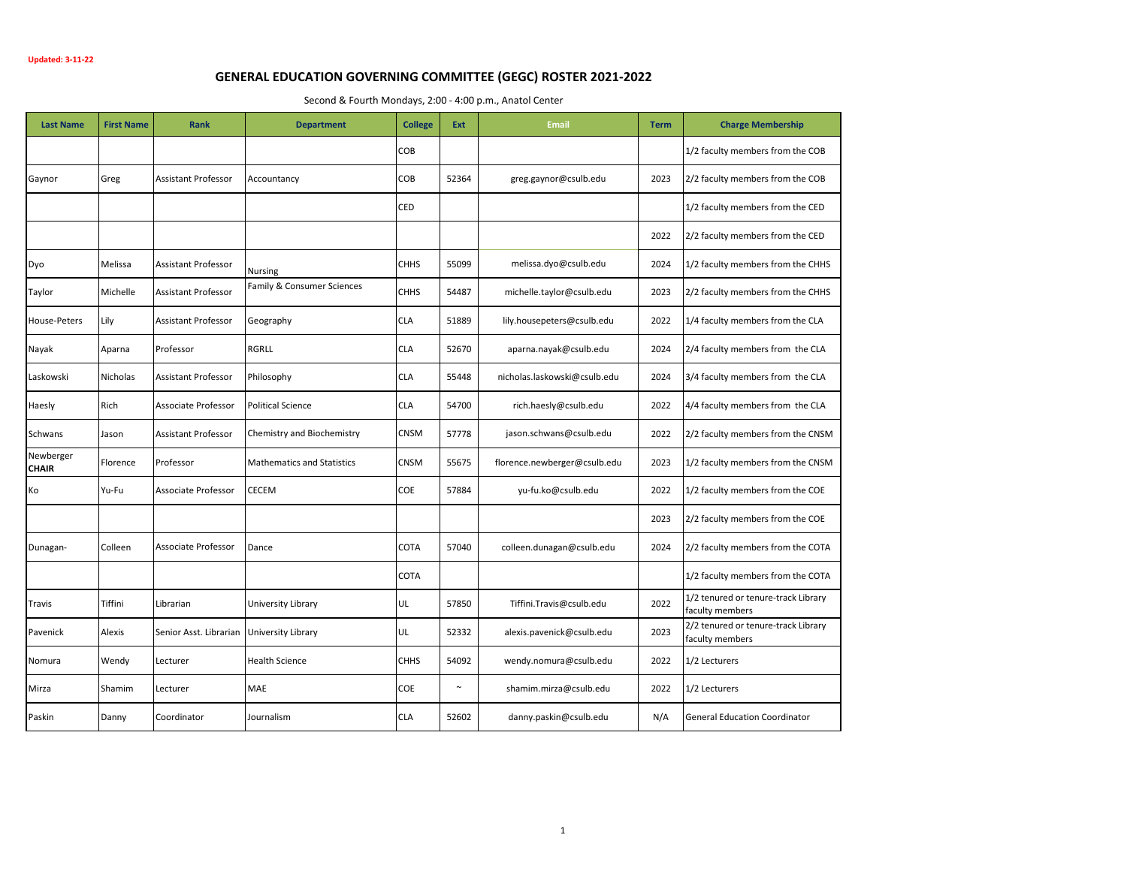## **GENERAL EDUCATION GOVERNING COMMITTEE (GEGC) ROSTER 2021-2022**

Second & Fourth Mondays, 2:00 - 4:00 p.m., Anatol Center

| <b>Last Name</b>          | <b>First Name</b> | Rank                                      | <b>Department</b>                 | <b>College</b> | Ext    | <b>Email</b>                 | <b>Term</b> | <b>Charge Membership</b>                               |
|---------------------------|-------------------|-------------------------------------------|-----------------------------------|----------------|--------|------------------------------|-------------|--------------------------------------------------------|
|                           |                   |                                           |                                   | COB            |        |                              |             | 1/2 faculty members from the COB                       |
| Gaynor                    | Greg              | <b>Assistant Professor</b>                | Accountancy                       | COB            | 52364  | greg.gaynor@csulb.edu        | 2023        | 2/2 faculty members from the COB                       |
|                           |                   |                                           |                                   | CED            |        |                              |             | 1/2 faculty members from the CED                       |
|                           |                   |                                           |                                   |                |        |                              | 2022        | 2/2 faculty members from the CED                       |
| Dyo                       | Melissa           | <b>Assistant Professor</b>                | <b>Nursing</b>                    | <b>CHHS</b>    | 55099  | melissa.dyo@csulb.edu        | 2024        | 1/2 faculty members from the CHHS                      |
| Taylor                    | Michelle          | <b>Assistant Professor</b>                | Family & Consumer Sciences        | <b>CHHS</b>    | 54487  | michelle.taylor@csulb.edu    | 2023        | 2/2 faculty members from the CHHS                      |
| House-Peters              | Lily              | <b>Assistant Professor</b>                | Geography                         | <b>CLA</b>     | 51889  | lily.housepeters@csulb.edu   | 2022        | 1/4 faculty members from the CLA                       |
| Nayak                     | Aparna            | Professor                                 | <b>RGRLL</b>                      | <b>CLA</b>     | 52670  | aparna.nayak@csulb.edu       | 2024        | 2/4 faculty members from the CLA                       |
| Laskowski                 | Nicholas          | <b>Assistant Professor</b>                | Philosophy                        | <b>CLA</b>     | 55448  | nicholas.laskowski@csulb.edu | 2024        | 3/4 faculty members from the CLA                       |
| Haesly                    | Rich              | Associate Professor                       | <b>Political Science</b>          | <b>CLA</b>     | 54700  | rich.haesly@csulb.edu        | 2022        | 4/4 faculty members from the CLA                       |
| Schwans                   | Jason             | <b>Assistant Professor</b>                | Chemistry and Biochemistry        | CNSM           | 57778  | jason.schwans@csulb.edu      | 2022        | 2/2 faculty members from the CNSM                      |
| Newberger<br><b>CHAIR</b> | Florence          | Professor                                 | <b>Mathematics and Statistics</b> | CNSM           | 55675  | florence.newberger@csulb.edu | 2023        | 1/2 faculty members from the CNSM                      |
| Ko                        | Yu-Fu             | Associate Professor                       | CECEM                             | COE            | 57884  | yu-fu.ko@csulb.edu           | 2022        | 1/2 faculty members from the COE                       |
|                           |                   |                                           |                                   |                |        |                              | 2023        | 2/2 faculty members from the COE                       |
| Dunagan-                  | Colleen           | Associate Professor                       | Dance                             | COTA           | 57040  | colleen.dunagan@csulb.edu    | 2024        | 2/2 faculty members from the COTA                      |
|                           |                   |                                           |                                   | COTA           |        |                              |             | 1/2 faculty members from the COTA                      |
| Travis                    | Tiffini           | Librarian                                 | University Library                | UL             | 57850  | Tiffini.Travis@csulb.edu     | 2022        | 1/2 tenured or tenure-track Library<br>faculty members |
| Pavenick                  | Alexis            | Senior Asst. Librarian University Library |                                   | UL             | 52332  | alexis.pavenick@csulb.edu    | 2023        | 2/2 tenured or tenure-track Library<br>faculty members |
| Nomura                    | Wendy             | Lecturer                                  | <b>Health Science</b>             | <b>CHHS</b>    | 54092  | wendy.nomura@csulb.edu       | 2022        | 1/2 Lecturers                                          |
| Mirza                     | Shamim            | Lecturer                                  | <b>MAE</b>                        | COE            | $\sim$ | shamim.mirza@csulb.edu       | 2022        | 1/2 Lecturers                                          |
| Paskin                    | Danny             | Coordinator                               | Journalism                        | <b>CLA</b>     | 52602  | danny.paskin@csulb.edu       | N/A         | <b>General Education Coordinator</b>                   |